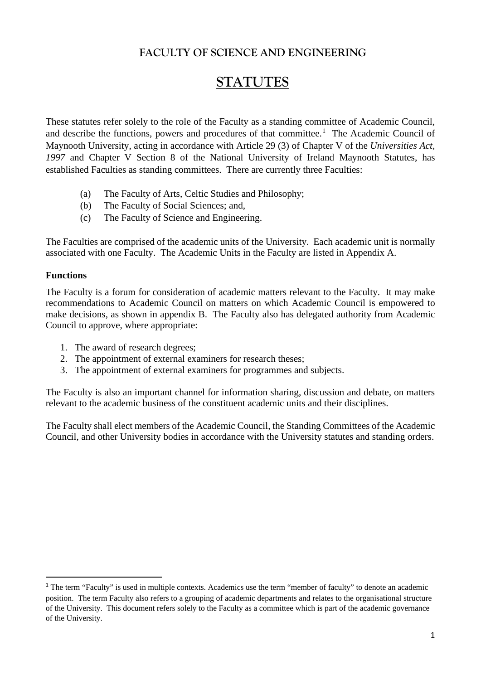## **FACULTY OF SCIENCE AND ENGINEERING**

# **STATUTES**

These statutes refer solely to the role of the Faculty as a standing committee of Academic Council, and describe the functions, powers and procedures of that committee.<sup>[1](#page-0-0)</sup> The Academic Council of Maynooth University, acting in accordance with Article 29 (3) of Chapter V of the *Universities Act, 1997* and Chapter V Section 8 of the National University of Ireland Maynooth Statutes, has established Faculties as standing committees. There are currently three Faculties:

- (a) The Faculty of Arts, Celtic Studies and Philosophy;
- (b) The Faculty of Social Sciences; and,
- (c) The Faculty of Science and Engineering.

The Faculties are comprised of the academic units of the University. Each academic unit is normally associated with one Faculty. The Academic Units in the Faculty are listed in Appendix A.

#### **Functions**

The Faculty is a forum for consideration of academic matters relevant to the Faculty. It may make recommendations to Academic Council on matters on which Academic Council is empowered to make decisions, as shown in appendix B. The Faculty also has delegated authority from Academic Council to approve, where appropriate:

- 1. The award of research degrees;
- 2. The appointment of external examiners for research theses;
- 3. The appointment of external examiners for programmes and subjects.

The Faculty is also an important channel for information sharing, discussion and debate, on matters relevant to the academic business of the constituent academic units and their disciplines.

The Faculty shall elect members of the Academic Council, the Standing Committees of the Academic Council, and other University bodies in accordance with the University statutes and standing orders.

<span id="page-0-0"></span><sup>&</sup>lt;sup>1</sup> The term "Faculty" is used in multiple contexts. Academics use the term "member of faculty" to denote an academic position. The term Faculty also refers to a grouping of academic departments and relates to the organisational structure of the University. This document refers solely to the Faculty as a committee which is part of the academic governance of the University.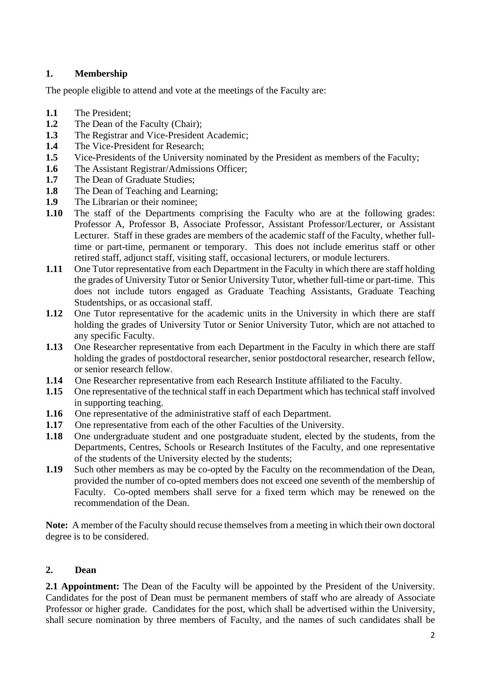### **1. Membership**

The people eligible to attend and vote at the meetings of the Faculty are:

- **1.1** The President;
- **1.2** The Dean of the Faculty (Chair);
- **1.3** The Registrar and Vice-President Academic;
- **1.4** The Vice-President for Research;
- **1.5** Vice-Presidents of the University nominated by the President as members of the Faculty;
- 1.6 The Assistant Registrar/Admissions Officer;
- **1.7** The Dean of Graduate Studies;
- **1.8** The Dean of Teaching and Learning;
- **1.9** The Librarian or their nominee;
- **1.10** The staff of the Departments comprising the Faculty who are at the following grades: Professor A, Professor B, Associate Professor, Assistant Professor/Lecturer, or Assistant Lecturer. Staff in these grades are members of the academic staff of the Faculty, whether fulltime or part-time, permanent or temporary. This does not include emeritus staff or other retired staff, adjunct staff, visiting staff, occasional lecturers, or module lecturers.
- **1.11** One Tutor representative from each Department in the Faculty in which there are staff holding the grades of University Tutor or Senior University Tutor, whether full-time or part-time. This does not include tutors engaged as Graduate Teaching Assistants, Graduate Teaching Studentships, or as occasional staff.
- **1.12** One Tutor representative for the academic units in the University in which there are staff holding the grades of University Tutor or Senior University Tutor, which are not attached to any specific Faculty.
- **1.13** One Researcher representative from each Department in the Faculty in which there are staff holding the grades of postdoctoral researcher, senior postdoctoral researcher, research fellow, or senior research fellow.
- **1.14** One Researcher representative from each Research Institute affiliated to the Faculty.
- **1.15** One representative of the technical staff in each Department which has technical staff involved in supporting teaching.
- **1.16** One representative of the administrative staff of each Department.
- **1.17** One representative from each of the other Faculties of the University.
- **1.18** One undergraduate student and one postgraduate student, elected by the students, from the Departments, Centres, Schools or Research Institutes of the Faculty, and one representative of the students of the University elected by the students;
- **1.19** Such other members as may be co-opted by the Faculty on the recommendation of the Dean, provided the number of co-opted members does not exceed one seventh of the membership of Faculty. Co-opted members shall serve for a fixed term which may be renewed on the recommendation of the Dean.

**Note:** A member of the Faculty should recuse themselves from a meeting in which their own doctoral degree is to be considered.

#### **2. Dean**

**2.1 Appointment:** The Dean of the Faculty will be appointed by the President of the University. Candidates for the post of Dean must be permanent members of staff who are already of Associate Professor or higher grade. Candidates for the post, which shall be advertised within the University, shall secure nomination by three members of Faculty, and the names of such candidates shall be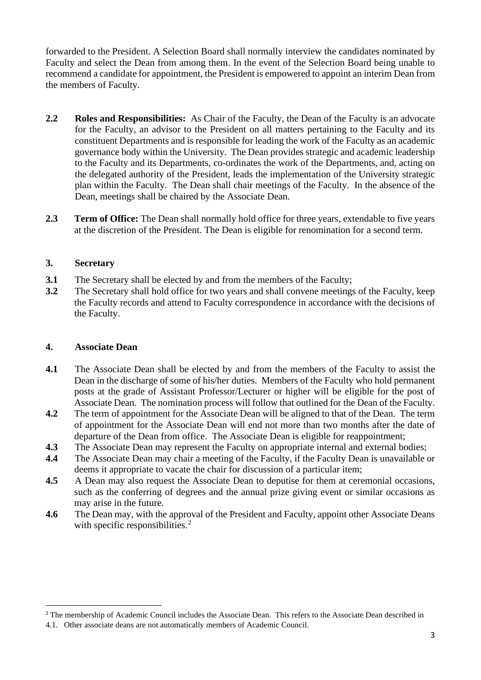forwarded to the President. A Selection Board shall normally interview the candidates nominated by Faculty and select the Dean from among them. In the event of the Selection Board being unable to recommend a candidate for appointment, the President is empowered to appoint an interim Dean from the members of Faculty.

- **2.2 Roles and Responsibilities:** As Chair of the Faculty, the Dean of the Faculty is an advocate for the Faculty, an advisor to the President on all matters pertaining to the Faculty and its constituent Departments and is responsible for leading the work of the Faculty as an academic governance body within the University. The Dean provides strategic and academic leadership to the Faculty and its Departments, co-ordinates the work of the Departments, and, acting on the delegated authority of the President, leads the implementation of the University strategic plan within the Faculty. The Dean shall chair meetings of the Faculty. In the absence of the Dean, meetings shall be chaired by the Associate Dean.
- **2.3 Term of Office:** The Dean shall normally hold office for three years, extendable to five years at the discretion of the President. The Dean is eligible for renomination for a second term.

#### **3. Secretary**

- **3.1** The Secretary shall be elected by and from the members of the Faculty;
- **3.2** The Secretary shall hold office for two years and shall convene meetings of the Faculty, keep the Faculty records and attend to Faculty correspondence in accordance with the decisions of the Faculty.

#### **4. Associate Dean**

- **4.1** The Associate Dean shall be elected by and from the members of the Faculty to assist the Dean in the discharge of some of his/her duties. Members of the Faculty who hold permanent posts at the grade of Assistant Professor/Lecturer or higher will be eligible for the post of Associate Dean. The nomination process will follow that outlined for the Dean of the Faculty.
- **4.2** The term of appointment for the Associate Dean will be aligned to that of the Dean. The term of appointment for the Associate Dean will end not more than two months after the date of departure of the Dean from office. The Associate Dean is eligible for reappointment;
- **4.3** The Associate Dean may represent the Faculty on appropriate internal and external bodies;
- **4.4** The Associate Dean may chair a meeting of the Faculty, if the Faculty Dean is unavailable or deems it appropriate to vacate the chair for discussion of a particular item;
- **4.5** A Dean may also request the Associate Dean to deputise for them at ceremonial occasions, such as the conferring of degrees and the annual prize giving event or similar occasions as may arise in the future.
- **4.6** The Dean may, with the approval of the President and Faculty, appoint other Associate Deans with specific responsibilities.<sup>[2](#page-2-0)</sup>

<span id="page-2-0"></span><sup>&</sup>lt;sup>2</sup> The membership of Academic Council includes the Associate Dean. This refers to the Associate Dean described in

<sup>4.1.</sup> Other associate deans are not automatically members of Academic Council.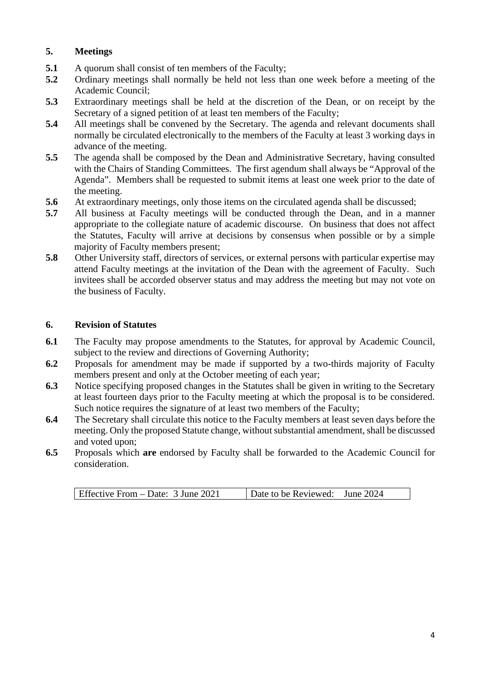### **5. Meetings**

- **5.1** A quorum shall consist of ten members of the Faculty;
- **5.2** Ordinary meetings shall normally be held not less than one week before a meeting of the Academic Council;
- **5.3** Extraordinary meetings shall be held at the discretion of the Dean, or on receipt by the Secretary of a signed petition of at least ten members of the Faculty;
- **5.4** All meetings shall be convened by the Secretary. The agenda and relevant documents shall normally be circulated electronically to the members of the Faculty at least 3 working days in advance of the meeting.
- **5.5** The agenda shall be composed by the Dean and Administrative Secretary, having consulted with the Chairs of Standing Committees. The first agendum shall always be "Approval of the Agenda". Members shall be requested to submit items at least one week prior to the date of the meeting.
- **5.6** At extraordinary meetings, only those items on the circulated agenda shall be discussed;
- **5.7** All business at Faculty meetings will be conducted through the Dean, and in a manner appropriate to the collegiate nature of academic discourse. On business that does not affect the Statutes, Faculty will arrive at decisions by consensus when possible or by a simple majority of Faculty members present;
- **5.8** Other University staff, directors of services, or external persons with particular expertise may attend Faculty meetings at the invitation of the Dean with the agreement of Faculty. Such invitees shall be accorded observer status and may address the meeting but may not vote on the business of Faculty.

#### **6. Revision of Statutes**

- **6.1** The Faculty may propose amendments to the Statutes, for approval by Academic Council, subject to the review and directions of Governing Authority;
- **6.2** Proposals for amendment may be made if supported by a two-thirds majority of Faculty members present and only at the October meeting of each year;
- **6.3** Notice specifying proposed changes in the Statutes shall be given in writing to the Secretary at least fourteen days prior to the Faculty meeting at which the proposal is to be considered. Such notice requires the signature of at least two members of the Faculty;
- **6.4** The Secretary shall circulate this notice to the Faculty members at least seven days before the meeting. Only the proposed Statute change, without substantial amendment, shall be discussed and voted upon;
- **6.5** Proposals which **are** endorsed by Faculty shall be forwarded to the Academic Council for consideration.

| Effective From $-$ Date: 3 June 2021 | Date to be Reviewed: June 2024 |  |
|--------------------------------------|--------------------------------|--|
|--------------------------------------|--------------------------------|--|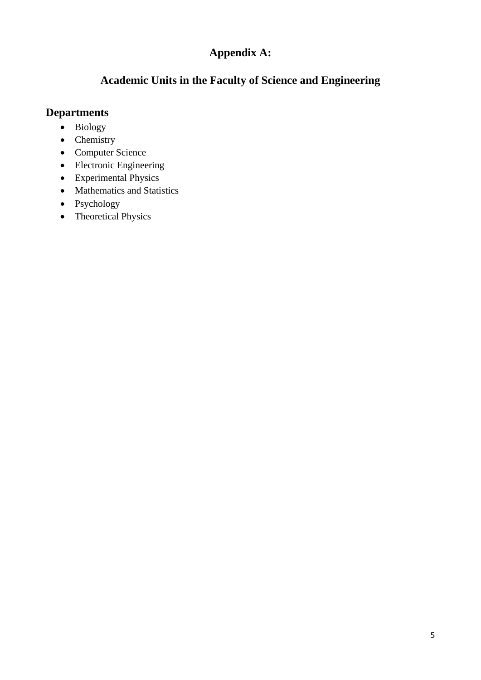# **Appendix A:**

## **Academic Units in the Faculty of Science and Engineering**

## **Departments**

- Biology
- Chemistry
- Computer Science
- Electronic Engineering
- Experimental Physics
- Mathematics and Statistics
- Psychology
- Theoretical Physics